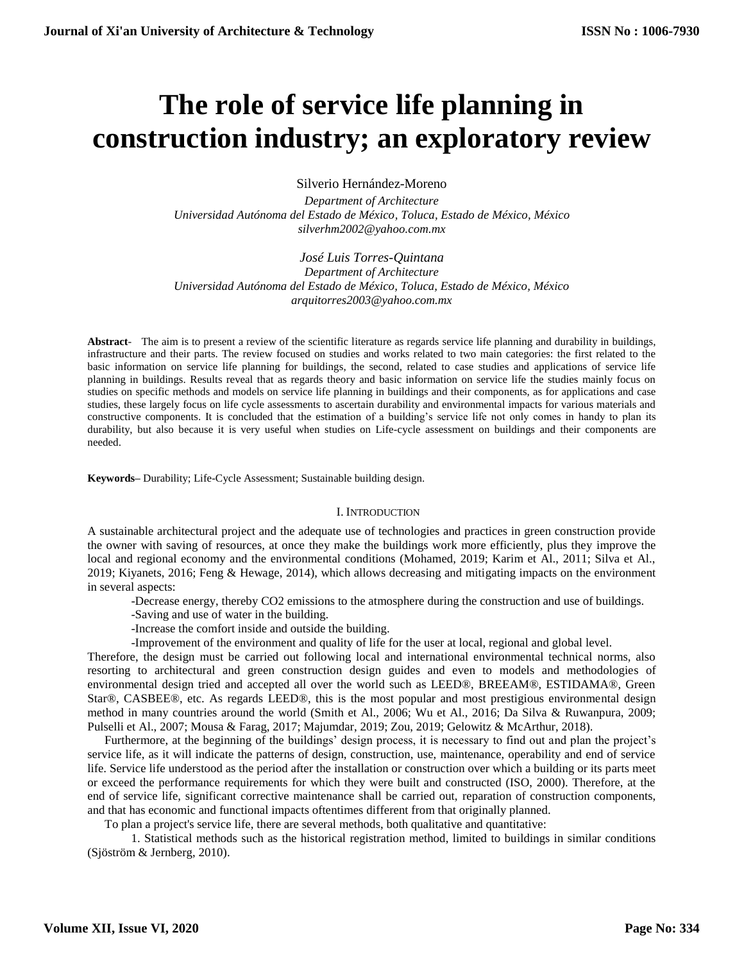# **The role of service life planning in construction industry; an exploratory review**

Silverio Hernández-Moreno

*Department of Architecture Universidad Autónoma del Estado de México, Toluca, Estado de México, México [silverhm2002@yahoo.com.mx](mailto:silverhm2002@yahoo.com.mx)*

*José Luis Torres-Quintana Department of Architecture Universidad Autónoma del Estado de México, Toluca, Estado de México, México arquitorres2003@yahoo.com.mx*

**Abstract**- The aim is to present a review of the scientific literature as regards service life planning and durability in buildings, infrastructure and their parts. The review focused on studies and works related to two main categories: the first related to the basic information on service life planning for buildings, the second, related to case studies and applications of service life planning in buildings. Results reveal that as regards theory and basic information on service life the studies mainly focus on studies on specific methods and models on service life planning in buildings and their components, as for applications and case studies, these largely focus on life cycle assessments to ascertain durability and environmental impacts for various materials and constructive components. It is concluded that the estimation of a building's service life not only comes in handy to plan its durability, but also because it is very useful when studies on Life-cycle assessment on buildings and their components are needed.

**Keywords–** Durability; Life-Cycle Assessment; Sustainable building design.

#### I. INTRODUCTION

A sustainable architectural project and the adequate use of technologies and practices in green construction provide the owner with saving of resources, at once they make the buildings work more efficiently, plus they improve the local and regional economy and the environmental conditions (Mohamed, 2019; Karim et Al., 2011; Silva et Al., 2019; Kiyanets, 2016; Feng & Hewage, 2014), which allows decreasing and mitigating impacts on the environment in several aspects:

-Decrease energy, thereby CO2 emissions to the atmosphere during the construction and use of buildings.

- -Saving and use of water in the building.
- -Increase the comfort inside and outside the building.
- -Improvement of the environment and quality of life for the user at local, regional and global level.

Therefore, the design must be carried out following local and international environmental technical norms, also resorting to architectural and green construction design guides and even to models and methodologies of environmental design tried and accepted all over the world such as LEED®, BREEAM®, ESTIDAMA®, Green Star®, CASBEE®, etc. As regards LEED®, this is the most popular and most prestigious environmental design method in many countries around the world (Smith et Al., 2006; Wu et Al., 2016; Da Silva & Ruwanpura, 2009; Pulselli et Al., 2007; Mousa & Farag, 2017; Majumdar, 2019; Zou, 2019; Gelowitz & McArthur, 2018).

Furthermore, at the beginning of the buildings' design process, it is necessary to find out and plan the project's service life, as it will indicate the patterns of design, construction, use, maintenance, operability and end of service life. Service life understood as the period after the installation or construction over which a building or its parts meet or exceed the performance requirements for which they were built and constructed (ISO, 2000). Therefore, at the end of service life, significant corrective maintenance shall be carried out, reparation of construction components, and that has economic and functional impacts oftentimes different from that originally planned.

To plan a project's service life, there are several methods, both qualitative and quantitative:

1. Statistical methods such as the historical registration method, limited to buildings in similar conditions (Sjöström & Jernberg, 2010).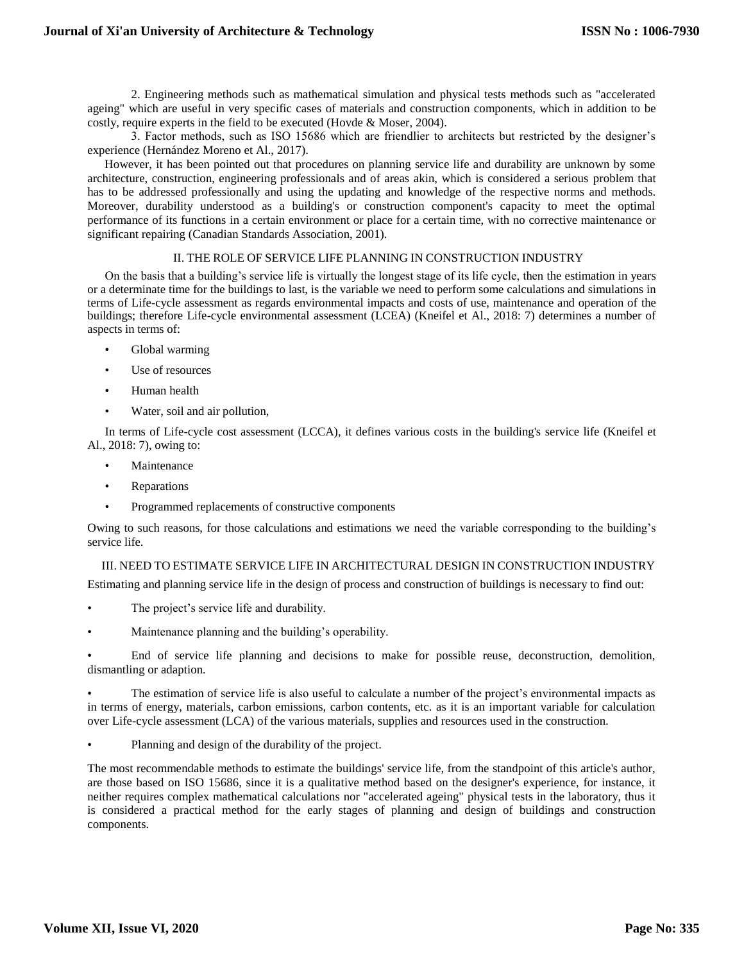2. Engineering methods such as mathematical simulation and physical tests methods such as "accelerated ageing" which are useful in very specific cases of materials and construction components, which in addition to be costly, require experts in the field to be executed (Hovde & Moser, 2004).

3. Factor methods, such as ISO 15686 which are friendlier to architects but restricted by the designer's experience (Hernández Moreno et Al., 2017).

However, it has been pointed out that procedures on planning service life and durability are unknown by some architecture, construction, engineering professionals and of areas akin, which is considered a serious problem that has to be addressed professionally and using the updating and knowledge of the respective norms and methods. Moreover, durability understood as a building's or construction component's capacity to meet the optimal performance of its functions in a certain environment or place for a certain time, with no corrective maintenance or significant repairing (Canadian Standards Association, 2001).

## II. THE ROLE OF SERVICE LIFE PLANNING IN CONSTRUCTION INDUSTRY

On the basis that a building's service life is virtually the longest stage of its life cycle, then the estimation in years or a determinate time for the buildings to last, is the variable we need to perform some calculations and simulations in terms of Life-cycle assessment as regards environmental impacts and costs of use, maintenance and operation of the buildings; therefore Life-cycle environmental assessment (LCEA) (Kneifel et Al., 2018: 7) determines a number of aspects in terms of:

- Global warming
- Use of resources
- Human health
- Water, soil and air pollution,

In terms of Life-cycle cost assessment (LCCA), it defines various costs in the building's service life (Kneifel et Al., 2018: 7), owing to:

- **Maintenance**
- Reparations
- Programmed replacements of constructive components

Owing to such reasons, for those calculations and estimations we need the variable corresponding to the building's service life.

III. NEED TO ESTIMATE SERVICE LIFE IN ARCHITECTURAL DESIGN IN CONSTRUCTION INDUSTRY

Estimating and planning service life in the design of process and construction of buildings is necessary to find out:

- The project's service life and durability.
- Maintenance planning and the building's operability.

• End of service life planning and decisions to make for possible reuse, deconstruction, demolition, dismantling or adaption.

• The estimation of service life is also useful to calculate a number of the project's environmental impacts as in terms of energy, materials, carbon emissions, carbon contents, etc. as it is an important variable for calculation over Life-cycle assessment (LCA) of the various materials, supplies and resources used in the construction.

Planning and design of the durability of the project.

The most recommendable methods to estimate the buildings' service life, from the standpoint of this article's author, are those based on ISO 15686, since it is a qualitative method based on the designer's experience, for instance, it neither requires complex mathematical calculations nor "accelerated ageing" physical tests in the laboratory, thus it is considered a practical method for the early stages of planning and design of buildings and construction components.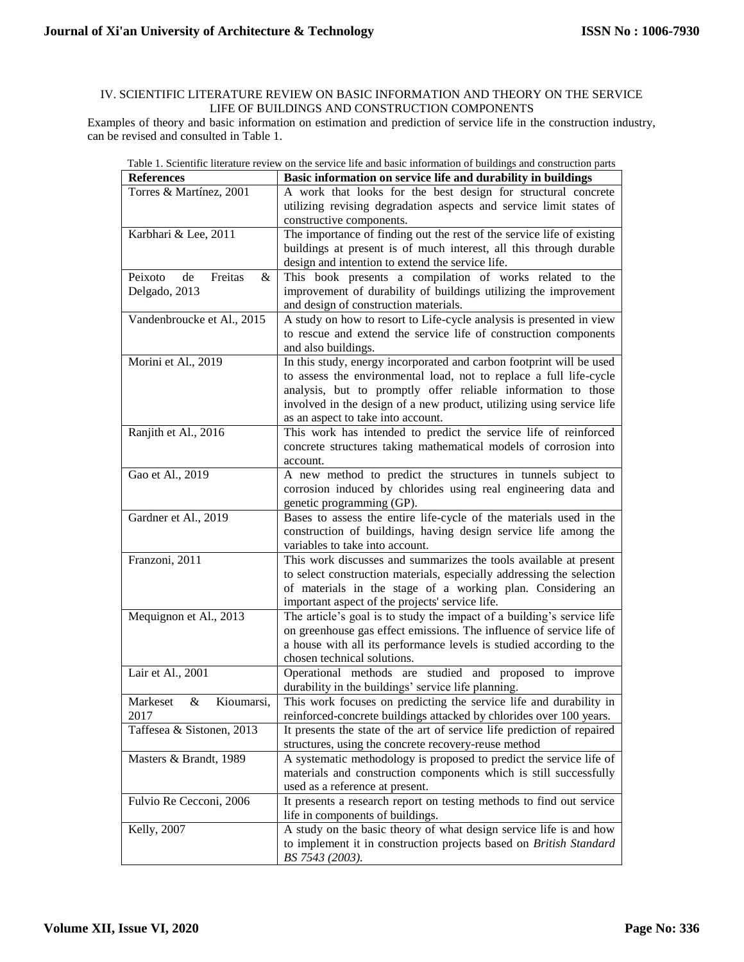# IV. SCIENTIFIC LITERATURE REVIEW ON BASIC INFORMATION AND THEORY ON THE SERVICE LIFE OF BUILDINGS AND CONSTRUCTION COMPONENTS

Examples of theory and basic information on estimation and prediction of service life in the construction industry, can be revised and consulted in Table 1.

|                             | rable 1. Scientific interature review on the service life and basic information of buildings and construction parts |
|-----------------------------|---------------------------------------------------------------------------------------------------------------------|
| <b>References</b>           | Basic information on service life and durability in buildings                                                       |
| Torres & Martínez, 2001     | A work that looks for the best design for structural concrete                                                       |
|                             | utilizing revising degradation aspects and service limit states of                                                  |
|                             | constructive components.                                                                                            |
| Karbhari & Lee, 2011        | The importance of finding out the rest of the service life of existing                                              |
|                             | buildings at present is of much interest, all this through durable                                                  |
|                             | design and intention to extend the service life.                                                                    |
| Peixoto<br>Freitas<br>de    |                                                                                                                     |
| &                           | This book presents a compilation of works related to the                                                            |
| Delgado, 2013               | improvement of durability of buildings utilizing the improvement                                                    |
|                             | and design of construction materials.                                                                               |
| Vandenbroucke et Al., 2015  | A study on how to resort to Life-cycle analysis is presented in view                                                |
|                             | to rescue and extend the service life of construction components                                                    |
|                             | and also buildings.                                                                                                 |
| Morini et Al., 2019         | In this study, energy incorporated and carbon footprint will be used                                                |
|                             | to assess the environmental load, not to replace a full life-cycle                                                  |
|                             | analysis, but to promptly offer reliable information to those                                                       |
|                             |                                                                                                                     |
|                             | involved in the design of a new product, utilizing using service life                                               |
|                             | as an aspect to take into account.                                                                                  |
| Ranjith et Al., 2016        | This work has intended to predict the service life of reinforced                                                    |
|                             | concrete structures taking mathematical models of corrosion into                                                    |
|                             | account.                                                                                                            |
| Gao et Al., 2019            | A new method to predict the structures in tunnels subject to                                                        |
|                             | corrosion induced by chlorides using real engineering data and                                                      |
|                             | genetic programming (GP).                                                                                           |
| Gardner et Al., 2019        | Bases to assess the entire life-cycle of the materials used in the                                                  |
|                             |                                                                                                                     |
|                             | construction of buildings, having design service life among the                                                     |
|                             | variables to take into account.                                                                                     |
| Franzoni, 2011              | This work discusses and summarizes the tools available at present                                                   |
|                             | to select construction materials, especially addressing the selection                                               |
|                             |                                                                                                                     |
|                             | of materials in the stage of a working plan. Considering an                                                         |
|                             | important aspect of the projects' service life.                                                                     |
|                             |                                                                                                                     |
| Mequignon et Al., 2013      | The article's goal is to study the impact of a building's service life                                              |
|                             | on greenhouse gas effect emissions. The influence of service life of                                                |
|                             | a house with all its performance levels is studied according to the                                                 |
|                             | chosen technical solutions.                                                                                         |
| Lair et Al., 2001           | Operational methods are studied and proposed to improve                                                             |
|                             | durability in the buildings' service life planning.                                                                 |
| Markeset<br>&<br>Kioumarsi, | This work focuses on predicting the service life and durability in                                                  |
| 2017                        | reinforced-concrete buildings attacked by chlorides over 100 years.                                                 |
| Taffesea & Sistonen, 2013   | It presents the state of the art of service life prediction of repaired                                             |
|                             | structures, using the concrete recovery-reuse method                                                                |
|                             |                                                                                                                     |
| Masters & Brandt, 1989      | A systematic methodology is proposed to predict the service life of                                                 |
|                             | materials and construction components which is still successfully                                                   |
|                             | used as a reference at present.                                                                                     |
| Fulvio Re Cecconi, 2006     | It presents a research report on testing methods to find out service                                                |
|                             | life in components of buildings.                                                                                    |
| Kelly, 2007                 | A study on the basic theory of what design service life is and how                                                  |
|                             | to implement it in construction projects based on British Standard<br>BS 7543 (2003).                               |

| Table 1. Scientific literature review on the service life and basic information of buildings and construction parts |  |  |
|---------------------------------------------------------------------------------------------------------------------|--|--|
|---------------------------------------------------------------------------------------------------------------------|--|--|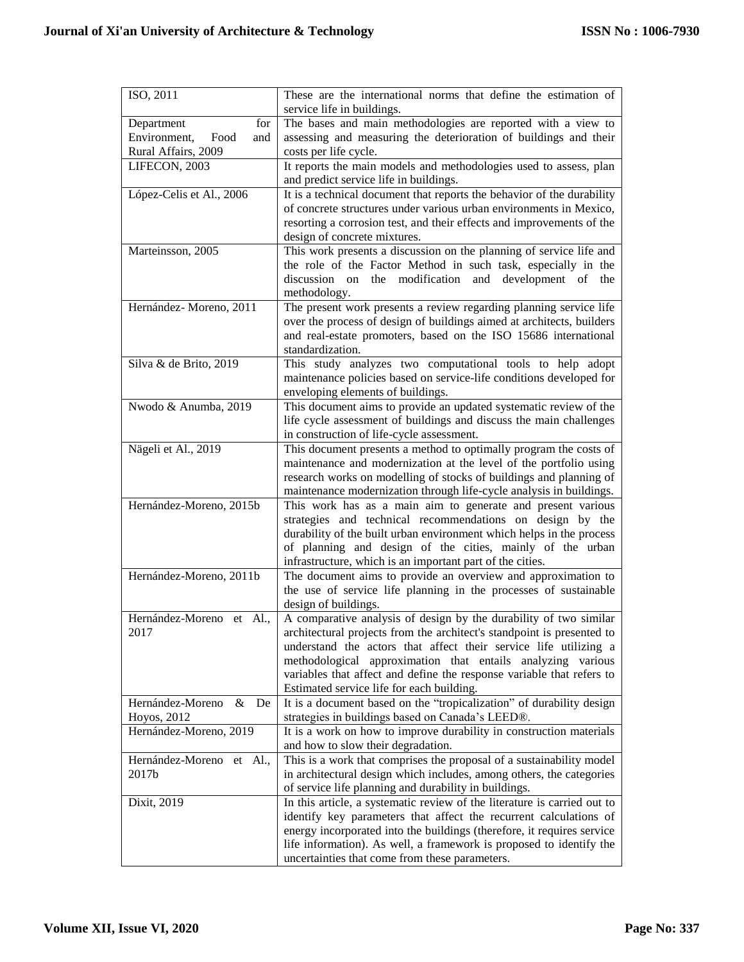| ISO, 2011                      | These are the international norms that define the estimation of<br>service life in buildings.                          |
|--------------------------------|------------------------------------------------------------------------------------------------------------------------|
| for<br>Department              | The bases and main methodologies are reported with a view to                                                           |
| Environment,<br>Food<br>and    | assessing and measuring the deterioration of buildings and their                                                       |
| Rural Affairs, 2009            | costs per life cycle.                                                                                                  |
| LIFECON, 2003                  | It reports the main models and methodologies used to assess, plan                                                      |
|                                | and predict service life in buildings.                                                                                 |
| López-Celis et Al., 2006       | It is a technical document that reports the behavior of the durability                                                 |
|                                | of concrete structures under various urban environments in Mexico,                                                     |
|                                | resorting a corrosion test, and their effects and improvements of the                                                  |
|                                | design of concrete mixtures.                                                                                           |
| Marteinsson, 2005              | This work presents a discussion on the planning of service life and                                                    |
|                                | the role of the Factor Method in such task, especially in the                                                          |
|                                | discussion on the modification and development of the                                                                  |
|                                | methodology.                                                                                                           |
| Hernández-Moreno, 2011         | The present work presents a review regarding planning service life                                                     |
|                                | over the process of design of buildings aimed at architects, builders                                                  |
|                                | and real-estate promoters, based on the ISO 15686 international                                                        |
|                                | standardization.                                                                                                       |
| Silva & de Brito, 2019         | This study analyzes two computational tools to help adopt                                                              |
|                                | maintenance policies based on service-life conditions developed for                                                    |
|                                | enveloping elements of buildings.                                                                                      |
| Nwodo & Anumba, 2019           | This document aims to provide an updated systematic review of the                                                      |
|                                | life cycle assessment of buildings and discuss the main challenges                                                     |
|                                | in construction of life-cycle assessment.                                                                              |
| Nägeli et Al., 2019            | This document presents a method to optimally program the costs of                                                      |
|                                | maintenance and modernization at the level of the portfolio using                                                      |
|                                | research works on modelling of stocks of buildings and planning of                                                     |
|                                | maintenance modernization through life-cycle analysis in buildings.                                                    |
| Hernández-Moreno, 2015b        | This work has as a main aim to generate and present various                                                            |
|                                | strategies and technical recommendations on design by the                                                              |
|                                | durability of the built urban environment which helps in the process                                                   |
|                                | of planning and design of the cities, mainly of the urban<br>infrastructure, which is an important part of the cities. |
| Hernández-Moreno, 2011b        | The document aims to provide an overview and approximation to                                                          |
|                                | the use of service life planning in the processes of sustainable                                                       |
|                                | design of buildings.                                                                                                   |
| Hernández-Moreno et Al.,       | A comparative analysis of design by the durability of two similar                                                      |
| 2017                           | architectural projects from the architect's standpoint is presented to                                                 |
|                                | understand the actors that affect their service life utilizing a                                                       |
|                                | methodological approximation that entails analyzing various                                                            |
|                                | variables that affect and define the response variable that refers to                                                  |
|                                | Estimated service life for each building.                                                                              |
| $\&$<br>Hernández-Moreno<br>De | It is a document based on the "tropicalization" of durability design                                                   |
| Hoyos, 2012                    | strategies in buildings based on Canada's LEED®.                                                                       |
| Hernández-Moreno, 2019         | It is a work on how to improve durability in construction materials                                                    |
|                                | and how to slow their degradation.                                                                                     |
| Hernández-Moreno et Al.,       | This is a work that comprises the proposal of a sustainability model                                                   |
| 2017b                          | in architectural design which includes, among others, the categories                                                   |
|                                | of service life planning and durability in buildings.                                                                  |
| Dixit, 2019                    | In this article, a systematic review of the literature is carried out to                                               |
|                                | identify key parameters that affect the recurrent calculations of                                                      |
|                                | energy incorporated into the buildings (therefore, it requires service                                                 |
|                                | life information). As well, a framework is proposed to identify the                                                    |
|                                | uncertainties that come from these parameters.                                                                         |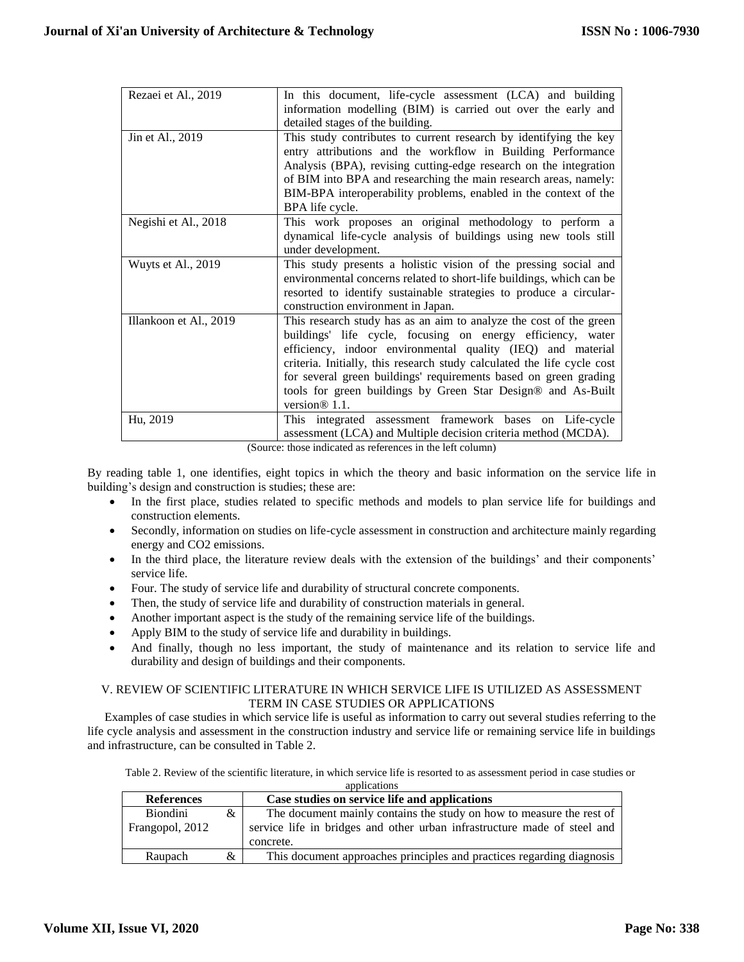| Rezaei et Al., 2019    | In this document, life-cycle assessment (LCA) and building              |
|------------------------|-------------------------------------------------------------------------|
|                        | information modelling (BIM) is carried out over the early and           |
|                        | detailed stages of the building.                                        |
| Jin et Al., 2019       | This study contributes to current research by identifying the key       |
|                        | entry attributions and the workflow in Building Performance             |
|                        | Analysis (BPA), revising cutting-edge research on the integration       |
|                        | of BIM into BPA and researching the main research areas, namely:        |
|                        | BIM-BPA interoperability problems, enabled in the context of the        |
|                        | BPA life cycle.                                                         |
| Negishi et Al., 2018   | This work proposes an original methodology to perform a                 |
|                        | dynamical life-cycle analysis of buildings using new tools still        |
|                        | under development.                                                      |
| Wuyts et Al., 2019     | This study presents a holistic vision of the pressing social and        |
|                        | environmental concerns related to short-life buildings, which can be    |
|                        | resorted to identify sustainable strategies to produce a circular-      |
|                        | construction environment in Japan.                                      |
| Illankoon et Al., 2019 | This research study has as an aim to analyze the cost of the green      |
|                        | buildings' life cycle, focusing on energy efficiency, water             |
|                        | efficiency, indoor environmental quality (IEQ) and material             |
|                        | criteria. Initially, this research study calculated the life cycle cost |
|                        | for several green buildings' requirements based on green grading        |
|                        | tools for green buildings by Green Star Design® and As-Built            |
|                        | version $\otimes$ 1.1.                                                  |
| Hu, 2019               | This integrated assessment framework bases on Life-cycle                |
|                        | assessment (LCA) and Multiple decision criteria method (MCDA).          |

(Source: those indicated as references in the left column)

By reading table 1, one identifies, eight topics in which the theory and basic information on the service life in building's design and construction is studies; these are:

- In the first place, studies related to specific methods and models to plan service life for buildings and construction elements.
- Secondly, information on studies on life-cycle assessment in construction and architecture mainly regarding energy and CO2 emissions.
- In the third place, the literature review deals with the extension of the buildings' and their components' service life.
- Four. The study of service life and durability of structural concrete components.
- Then, the study of service life and durability of construction materials in general.
- Another important aspect is the study of the remaining service life of the buildings.
- Apply BIM to the study of service life and durability in buildings.
- And finally, though no less important, the study of maintenance and its relation to service life and durability and design of buildings and their components.

## V. REVIEW OF SCIENTIFIC LITERATURE IN WHICH SERVICE LIFE IS UTILIZED AS ASSESSMENT TERM IN CASE STUDIES OR APPLICATIONS

Examples of case studies in which service life is useful as information to carry out several studies referring to the life cycle analysis and assessment in the construction industry and service life or remaining service life in buildings and infrastructure, can be consulted in Table 2.

Table 2. Review of the scientific literature, in which service life is resorted to as assessment period in case studies or applications

| <b>References</b> |   | Case studies on service life and applications                            |
|-------------------|---|--------------------------------------------------------------------------|
| <b>Biondini</b>   | & | The document mainly contains the study on how to measure the rest of     |
| Frangopol, 2012   |   | service life in bridges and other urban infrastructure made of steel and |
|                   |   | concrete.                                                                |
| Raupach           | & | This document approaches principles and practices regarding diagnosis    |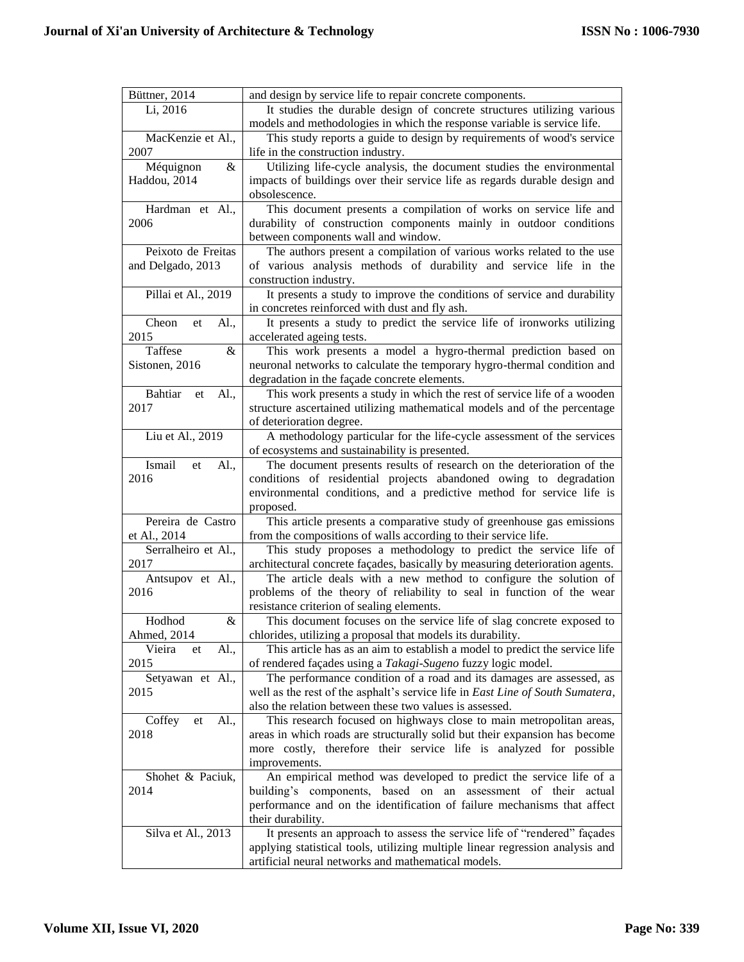| Büttner, 2014                | and design by service life to repair concrete components.                      |
|------------------------------|--------------------------------------------------------------------------------|
| Li, 2016                     | It studies the durable design of concrete structures utilizing various         |
|                              | models and methodologies in which the response variable is service life.       |
| MacKenzie et Al.,            | This study reports a guide to design by requirements of wood's service         |
| 2007                         | life in the construction industry.                                             |
| Méquignon<br>&               | Utilizing life-cycle analysis, the document studies the environmental          |
| Haddou, 2014                 | impacts of buildings over their service life as regards durable design and     |
|                              | obsolescence.                                                                  |
| Hardman et Al.,              | This document presents a compilation of works on service life and              |
| 2006                         | durability of construction components mainly in outdoor conditions             |
|                              | between components wall and window.                                            |
| Peixoto de Freitas           | The authors present a compilation of various works related to the use          |
|                              | of various analysis methods of durability and service life in the              |
| and Delgado, 2013            |                                                                                |
|                              | construction industry.                                                         |
| Pillai et Al., 2019          | It presents a study to improve the conditions of service and durability        |
|                              | in concretes reinforced with dust and fly ash.                                 |
| Cheon<br>Al.,<br>et          | It presents a study to predict the service life of ironworks utilizing         |
| 2015                         | accelerated ageing tests.                                                      |
| Taffese<br>&                 | This work presents a model a hygro-thermal prediction based on                 |
| Sistonen, 2016               | neuronal networks to calculate the temporary hygro-thermal condition and       |
|                              | degradation in the façade concrete elements.                                   |
| <b>Bahtiar</b><br>Al.,<br>et | This work presents a study in which the rest of service life of a wooden       |
| 2017                         | structure ascertained utilizing mathematical models and of the percentage      |
|                              | of deterioration degree.                                                       |
| Liu et Al., 2019             | A methodology particular for the life-cycle assessment of the services         |
|                              | of ecosystems and sustainability is presented.                                 |
| Ismail<br>Al.,<br>et         | The document presents results of research on the deterioration of the          |
| 2016                         | conditions of residential projects abandoned owing to degradation              |
|                              | environmental conditions, and a predictive method for service life is          |
|                              | proposed.                                                                      |
| Pereira de Castro            | This article presents a comparative study of greenhouse gas emissions          |
| et Al., 2014                 | from the compositions of walls according to their service life.                |
| Serralheiro et Al.,          | This study proposes a methodology to predict the service life of               |
| 2017                         | architectural concrete façades, basically by measuring deterioration agents.   |
| Antsupov et Al.,             | The article deals with a new method to configure the solution of               |
| 2016                         | problems of the theory of reliability to seal in function of the wear          |
|                              | resistance criterion of sealing elements.                                      |
| Hodhod<br>&                  | This document focuses on the service life of slag concrete exposed to          |
| Ahmed, 2014                  | chlorides, utilizing a proposal that models its durability.                    |
| Vieira<br>Al.,<br>et         | This article has as an aim to establish a model to predict the service life    |
| 2015                         | of rendered façades using a Takagi-Sugeno fuzzy logic model.                   |
| Setyawan et Al.,             | The performance condition of a road and its damages are assessed, as           |
| 2015                         | well as the rest of the asphalt's service life in East Line of South Sumatera, |
|                              | also the relation between these two values is assessed.                        |
| Al.,                         |                                                                                |
| Coffey<br>et                 | This research focused on highways close to main metropolitan areas,            |
| 2018                         | areas in which roads are structurally solid but their expansion has become     |
|                              | more costly, therefore their service life is analyzed for possible             |
|                              | improvements.                                                                  |
| Shohet & Paciuk,             | An empirical method was developed to predict the service life of a             |
| 2014                         | building's components, based on an assessment of their actual                  |
|                              | performance and on the identification of failure mechanisms that affect        |
|                              | their durability.                                                              |
| Silva et Al., 2013           | It presents an approach to assess the service life of "rendered" façades       |
|                              | applying statistical tools, utilizing multiple linear regression analysis and  |
|                              | artificial neural networks and mathematical models.                            |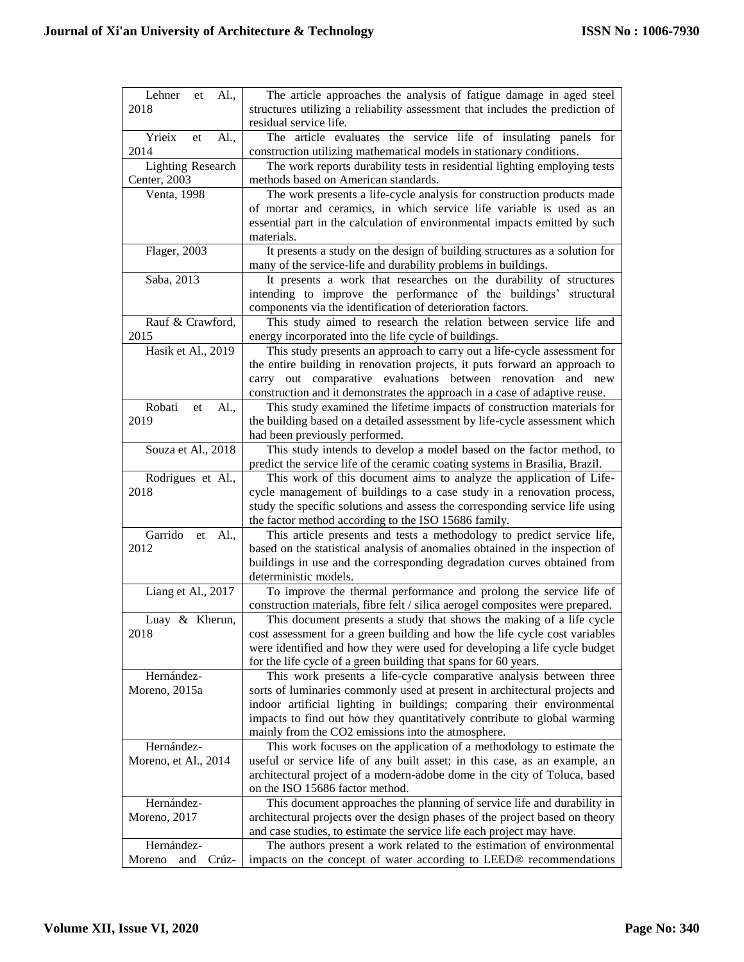| Lehner<br>Al.,<br>et     | The article approaches the analysis of fatigue damage in aged steel           |
|--------------------------|-------------------------------------------------------------------------------|
| 2018                     | structures utilizing a reliability assessment that includes the prediction of |
|                          |                                                                               |
|                          | residual service life.                                                        |
| Yrieix<br>Al.,<br>et     | The article evaluates the service life of insulating panels for               |
| 2014                     | construction utilizing mathematical models in stationary conditions.          |
| <b>Lighting Research</b> | The work reports durability tests in residential lighting employing tests     |
| Center, 2003             | methods based on American standards.                                          |
| Venta, 1998              | The work presents a life-cycle analysis for construction products made        |
|                          |                                                                               |
|                          | of mortar and ceramics, in which service life variable is used as an          |
|                          | essential part in the calculation of environmental impacts emitted by such    |
|                          | materials.                                                                    |
| Flager, 2003             | It presents a study on the design of building structures as a solution for    |
|                          | many of the service-life and durability problems in buildings.                |
| Saba, 2013               | It presents a work that researches on the durability of structures            |
|                          | intending to improve the performance of the buildings' structural             |
|                          | components via the identification of deterioration factors.                   |
|                          |                                                                               |
| Rauf & Crawford,         | This study aimed to research the relation between service life and            |
| 2015                     | energy incorporated into the life cycle of buildings.                         |
| Hasik et Al., 2019       | This study presents an approach to carry out a life-cycle assessment for      |
|                          | the entire building in renovation projects, it puts forward an approach to    |
|                          | carry out comparative evaluations between renovation and new                  |
|                          | construction and it demonstrates the approach in a case of adaptive reuse.    |
| Robati<br>Al.,<br>et     | This study examined the lifetime impacts of construction materials for        |
| 2019                     | the building based on a detailed assessment by life-cycle assessment which    |
|                          |                                                                               |
|                          | had been previously performed.                                                |
| Souza et Al., 2018       | This study intends to develop a model based on the factor method, to          |
|                          | predict the service life of the ceramic coating systems in Brasilia, Brazil.  |
| Rodrigues et Al.,        | This work of this document aims to analyze the application of Life-           |
| 2018                     | cycle management of buildings to a case study in a renovation process,        |
|                          | study the specific solutions and assess the corresponding service life using  |
|                          | the factor method according to the ISO 15686 family.                          |
| Garrido<br>Al.,<br>et    | This article presents and tests a methodology to predict service life,        |
| 2012                     | based on the statistical analysis of anomalies obtained in the inspection of  |
|                          | buildings in use and the corresponding degradation curves obtained from       |
|                          | deterministic models.                                                         |
|                          |                                                                               |
| Liang et Al., 2017       | To improve the thermal performance and prolong the service life of            |
|                          | construction materials, fibre felt / silica aerogel composites were prepared. |
| Luay & Kherun,           | This document presents a study that shows the making of a life cycle          |
| 2018                     | cost assessment for a green building and how the life cycle cost variables    |
|                          | were identified and how they were used for developing a life cycle budget     |
|                          | for the life cycle of a green building that spans for 60 years.               |
| Hernández-               | This work presents a life-cycle comparative analysis between three            |
| Moreno, 2015a            | sorts of luminaries commonly used at present in architectural projects and    |
|                          | indoor artificial lighting in buildings; comparing their environmental        |
|                          |                                                                               |
|                          | impacts to find out how they quantitatively contribute to global warming      |
|                          | mainly from the CO2 emissions into the atmosphere.                            |
| Hernández-               | This work focuses on the application of a methodology to estimate the         |
| Moreno, et Al., 2014     | useful or service life of any built asset; in this case, as an example, an    |
|                          | architectural project of a modern-adobe dome in the city of Toluca, based     |
|                          | on the ISO 15686 factor method.                                               |
| Hernández-               | This document approaches the planning of service life and durability in       |
| Moreno, 2017             | architectural projects over the design phases of the project based on theory  |
|                          |                                                                               |
|                          | and case studies, to estimate the service life each project may have.         |
| Hernández-               | The authors present a work related to the estimation of environmental         |
| Moreno<br>and<br>Crúz-   | impacts on the concept of water according to LEED® recommendations            |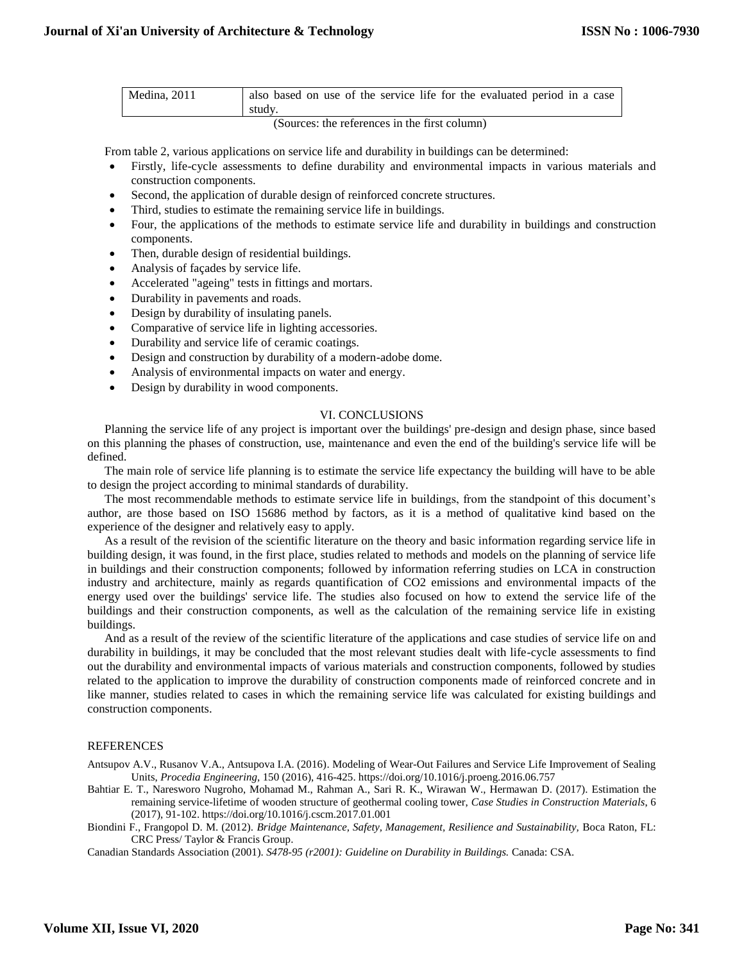| Medina, 2011 | also based on use of the service life for the evaluated period in a case |
|--------------|--------------------------------------------------------------------------|
|              | study.                                                                   |

(Sources: the references in the first column)

From table 2, various applications on service life and durability in buildings can be determined:

- Firstly, life-cycle assessments to define durability and environmental impacts in various materials and construction components.
- Second, the application of durable design of reinforced concrete structures.
- Third, studies to estimate the remaining service life in buildings.
- Four, the applications of the methods to estimate service life and durability in buildings and construction components.
- Then, durable design of residential buildings.
- Analysis of façades by service life.
- Accelerated "ageing" tests in fittings and mortars.
- Durability in pavements and roads.
- Design by durability of insulating panels.
- Comparative of service life in lighting accessories.
- Durability and service life of ceramic coatings.
- Design and construction by durability of a modern-adobe dome.
- Analysis of environmental impacts on water and energy.
- Design by durability in wood components.

### VI. CONCLUSIONS

Planning the service life of any project is important over the buildings' pre-design and design phase, since based on this planning the phases of construction, use, maintenance and even the end of the building's service life will be defined.

The main role of service life planning is to estimate the service life expectancy the building will have to be able to design the project according to minimal standards of durability.

The most recommendable methods to estimate service life in buildings, from the standpoint of this document's author, are those based on ISO 15686 method by factors, as it is a method of qualitative kind based on the experience of the designer and relatively easy to apply.

As a result of the revision of the scientific literature on the theory and basic information regarding service life in building design, it was found, in the first place, studies related to methods and models on the planning of service life in buildings and their construction components; followed by information referring studies on LCA in construction industry and architecture, mainly as regards quantification of CO2 emissions and environmental impacts of the energy used over the buildings' service life. The studies also focused on how to extend the service life of the buildings and their construction components, as well as the calculation of the remaining service life in existing buildings.

And as a result of the review of the scientific literature of the applications and case studies of service life on and durability in buildings, it may be concluded that the most relevant studies dealt with life-cycle assessments to find out the durability and environmental impacts of various materials and construction components, followed by studies related to the application to improve the durability of construction components made of reinforced concrete and in like manner, studies related to cases in which the remaining service life was calculated for existing buildings and construction components.

## REFERENCES

Antsupov A.V., Rusanov V.A., Antsupova I.A. (2016). Modeling of Wear-Out Failures and Service Life Improvement of Sealing Units, *Procedia Engineering*, 150 (2016), 416-425. https://doi.org/10.1016/j.proeng.2016.06.757

Bahtiar E. T., Naresworo Nugroho, Mohamad M., Rahman A., Sari R. K., Wirawan W., Hermawan D. (2017). Estimation the remaining service-lifetime of wooden structure of geothermal cooling tower, *Case Studies in Construction Materials*, 6 (2017), 91-102. https://doi.org/10.1016/j.cscm.2017.01.001

Biondini F., Frangopol D. M. (2012). *Bridge Maintenance, Safety, Management, Resilience and Sustainability,* Boca Raton, FL: CRC Press/ Taylor & Francis Group.

Canadian Standards Association (2001). *S478-95 (r2001): Guideline on Durability in Buildings.* Canada: CSA.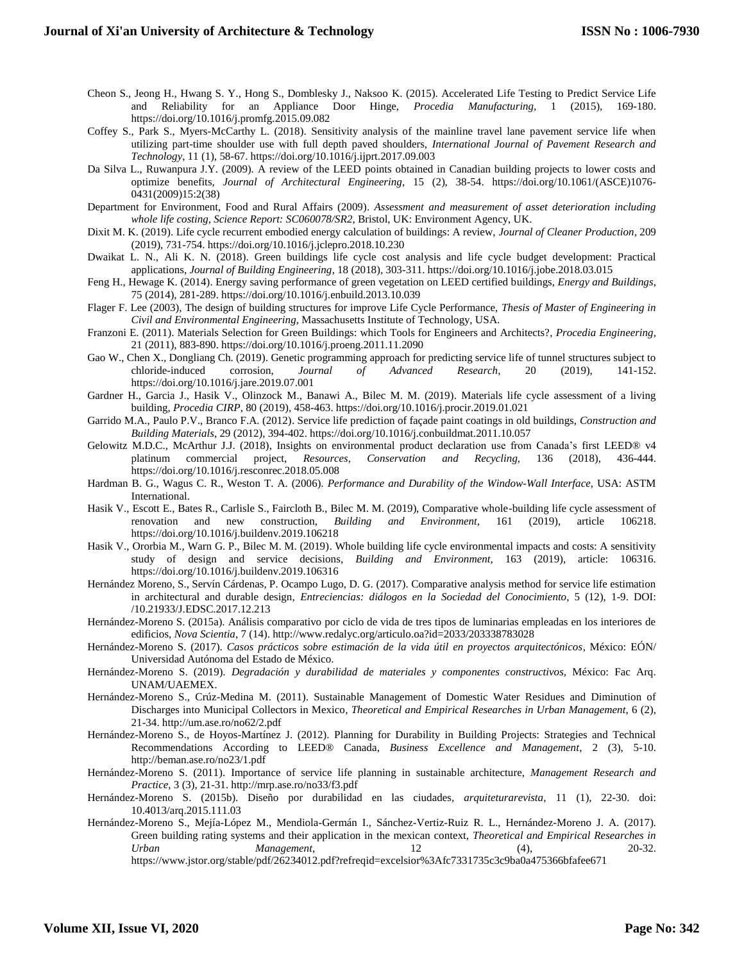- Cheon S., Jeong H., Hwang S. Y., Hong S., Domblesky J., Naksoo K. (2015). Accelerated Life Testing to Predict Service Life and Reliability for an Appliance Door Hinge, *Procedia Manufacturing,* 1 (2015), 169-180. https://doi.org/10.1016/j.promfg.2015.09.082
- Coffey S., Park S., Myers-McCarthy L. (2018). Sensitivity analysis of the mainline travel lane pavement service life when utilizing part-time shoulder use with full depth paved shoulders, *International Journal of Pavement Research and Technology*, 11 (1), 58-67. https://doi.org/10.1016/j.ijprt.2017.09.003
- Da Silva L., Ruwanpura J.Y. (2009). A review of the LEED points obtained in Canadian building projects to lower costs and optimize benefits*, Journal of Architectural Engineering,* 15 (2), 38-54. https://doi.org/10.1061/(ASCE)1076- 0431(2009)15:2(38)
- Department for Environment, Food and Rural Affairs (2009). *Assessment and measurement of asset deterioration including whole life costing, Science Report: SC060078/SR2*, Bristol, UK: Environment Agency, UK.
- Dixit M. K. (2019). Life cycle recurrent embodied energy calculation of buildings: A review, *Journal of Cleaner Production*, 209 (2019), 731-754. https://doi.org/10.1016/j.jclepro.2018.10.230
- Dwaikat L. N., Ali K. N. (2018). Green buildings life cycle cost analysis and life cycle budget development: Practical applications, *Journal of Building Engineering*, 18 (2018), 303-311. https://doi.org/10.1016/j.jobe.2018.03.015
- Feng H., Hewage K. (2014). Energy saving performance of green vegetation on LEED certified buildings, *Energy and Buildings*, 75 (2014), 281-289. https://doi.org/10.1016/j.enbuild.2013.10.039
- Flager F. Lee (2003), The design of building structures for improve Life Cycle Performance, *Thesis of Master of Engineering in Civil and Environmental Engineering*, Massachusetts Institute of Technology, USA.
- Franzoni E. (2011). Materials Selection for Green Buildings: which Tools for Engineers and Architects?, *Procedia Engineering*, 21 (2011), 883-890. https://doi.org/10.1016/j.proeng.2011.11.2090
- Gao W., Chen X., Dongliang Ch. (2019). Genetic programming approach for predicting service life of tunnel structures subject to chloride-induced corrosion, *Journal of Advanced Research*, 20 (2019), 141-152. chloride-induced corrosion, *Journal of Advanced Research*, 20 (2019), 141-152. https://doi.org/10.1016/j.jare.2019.07.001
- Gardner H., Garcia J., Hasik V., Olinzock M., Banawi A., Bilec M. M. (2019). Materials life cycle assessment of a living building, *Procedia CIRP*, 80 (2019), 458-463. https://doi.org/10.1016/j.procir.2019.01.021
- Garrido M.A., Paulo P.V., Branco F.A. (2012). Service life prediction of façade paint coatings in old buildings, *Construction and Building Materials*, 29 (2012), 394-402. https://doi.org/10.1016/j.conbuildmat.2011.10.057
- Gelowitz M.D.C., McArthur J.J. (2018), Insights on environmental product declaration use from Canada's first LEED® v4 platinum commercial project, *Resources, Conservation and Recycling,* 136 (2018), 436-444. https://doi.org/10.1016/j.resconrec.2018.05.008
- Hardman B. G., Wagus C. R., Weston T. A. (2006). *Performance and Durability of the Window-Wall Interface*, USA: ASTM International.
- Hasik V., Escott E., Bates R., Carlisle S., Faircloth B., Bilec M. M. (2019), Comparative whole-building life cycle assessment of renovation and new construction, *Building and Environment,* 161 (2019), article 106218. https://doi.org/10.1016/j.buildenv.2019.106218
- Hasik V., Ororbia M., Warn G. P., Bilec M. M. (2019). Whole building life cycle environmental impacts and costs: A sensitivity study of design and service decisions*, Building and Environment,* 163 (2019), article: 106316. https://doi.org/10.1016/j.buildenv.2019.106316
- Hernández Moreno, S., Servín Cárdenas, P. Ocampo Lugo, D. G. (2017). Comparative analysis method for service life estimation in architectural and durable design, *Entreciencias: diálogos en la Sociedad del Conocimiento*, 5 (12), 1-9. DOI: /10.21933/J.EDSC.2017.12.213
- Hernández-Moreno S. (2015a). Análisis comparativo por ciclo de vida de tres tipos de luminarias empleadas en los interiores de edificios*, Nova Scientia*, 7 (14). http://www.redalyc.org/articulo.oa?id=2033/203338783028
- Hernández-Moreno S. (2017). *Casos prácticos sobre estimación de la vida útil en proyectos arquitectónicos*, México: EÓN/ Universidad Autónoma del Estado de México.
- Hernández-Moreno S. (2019). *Degradación y durabilidad de materiales y componentes constructivos,* México: Fac Arq. UNAM/UAEMEX.
- Hernández-Moreno S., Crúz-Medina M. (2011). Sustainable Management of Domestic Water Residues and Diminution of Discharges into Municipal Collectors in Mexico*, Theoretical and Empirical Researches in Urban Management*, 6 (2), 21-34. http://um.ase.ro/no62/2.pdf
- Hernández-Moreno S., de Hoyos-Martínez J. (2012). Planning for Durability in Building Projects: Strategies and Technical Recommendations According to LEED® Canada*, Business Excellence and Management*, 2 (3), 5-10. http://beman.ase.ro/no23/1.pdf
- Hernández-Moreno S. (2011). Importance of service life planning in sustainable architecture, *Management Research and Practice*, 3 (3), 21-31. http://mrp.ase.ro/no33/f3.pdf
- Hernández-Moreno S. (2015b). Diseño por durabilidad en las ciudades, *arquiteturarevista,* 11 (1), 22-30. doi: 10.4013/arq.2015.111.03
- Hernández-Moreno S., Mejía-López M., Mendiola-Germán I., Sánchez-Vertiz-Ruiz R. L., Hernández-Moreno J. A. (2017). Green building rating systems and their application in the mexican context, *Theoretical and Empirical Researches in Urban Management*, 12 (4), 20-32. https://www.jstor.org/stable/pdf/26234012.pdf?refreqid=excelsior%3Afc7331735c3c9ba0a475366bfafee671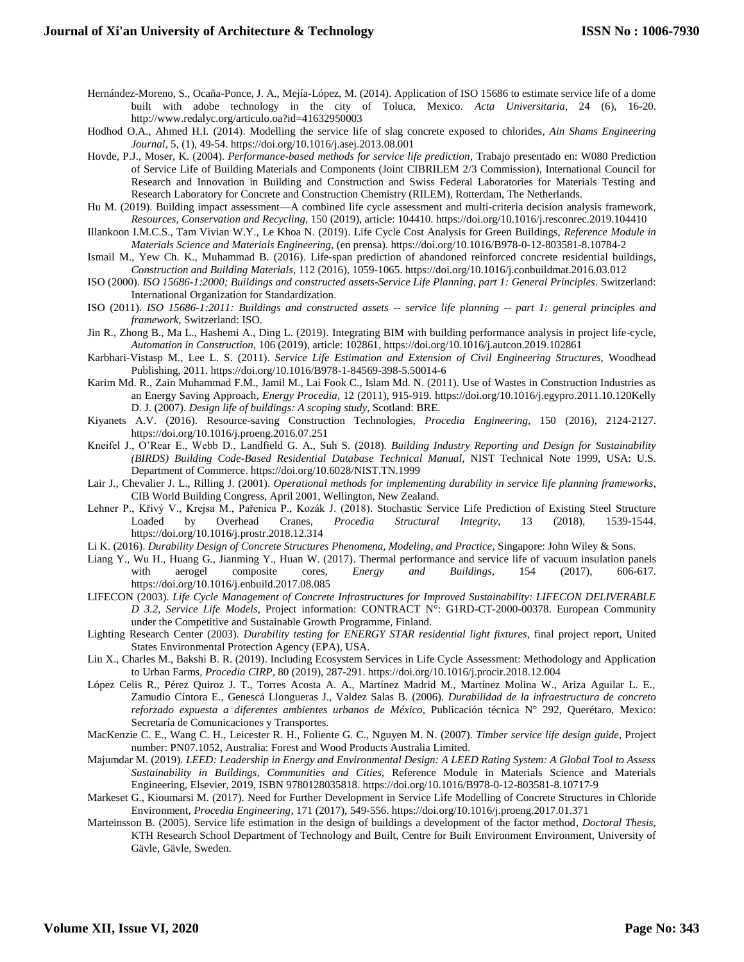- Hernández-Moreno, S., Ocaña-Ponce, J. A., Mejía-López, M. (2014). Application of ISO 15686 to estimate service life of a dome built with adobe technology in the city of Toluca, Mexico. *Acta Universitaria*, 24 (6), 16-20. http://www.redalyc.org/articulo.oa?id=41632950003
- Hodhod O.A., Ahmed H.I. (2014). Modelling the service life of slag concrete exposed to chlorides*, Ain Shams Engineering Journal*, 5, (1), 49-54. https://doi.org/10.1016/j.asej.2013.08.001
- Hovde, P.J., Moser, K. (2004). *Performance-based methods for service life prediction*, Trabajo presentado en: W080 Prediction of Service Life of Building Materials and Components (Joint CIBRILEM 2/3 Commission), International Council for Research and Innovation in Building and Construction and Swiss Federal Laboratories for Materials Testing and Research Laboratory for Concrete and Construction Chemistry (RILEM), Rotterdam, The Netherlands.
- Hu M. (2019). Building impact assessment—A combined life cycle assessment and multi-criteria decision analysis framework, *Resources, Conservation and Recycling,* 150 (2019), article: 104410. https://doi.org/10.1016/j.resconrec.2019.104410
- Illankoon I.M.C.S., Tam Vivian W.Y., Le Khoa N. (2019). Life Cycle Cost Analysis for Green Buildings, *Reference Module in Materials Science and Materials Engineering*, (en prensa). https://doi.org/10.1016/B978-0-12-803581-8.10784-2
- Ismail M., Yew Ch. K., Muhammad B. (2016). Life-span prediction of abandoned reinforced concrete residential buildings, *Construction and Building Materials*, 112 (2016), 1059-1065. https://doi.org/10.1016/j.conbuildmat.2016.03.012
- ISO (2000). *ISO 15686-1:2000; Buildings and constructed assets-Service Life Planning, part 1: General Principles*. Switzerland: International Organization for Standardization.
- ISO (2011). *ISO 15686-1:2011: Buildings and constructed assets -- service life planning -- part 1: general principles and framework*, Switzerland: ISO.
- Jin R., Zhong B., Ma L., Hashemi A., Ding L. (2019). Integrating BIM with building performance analysis in project life-cycle*, Automation in Construction,* 106 (2019), article: 102861, https://doi.org/10.1016/j.autcon.2019.102861
- Karbhari-Vistasp M., Lee L. S. (2011). *Service Life Estimation and Extension of Civil Engineering Structures,* Woodhead Publishing, 2011. https://doi.org/10.1016/B978-1-84569-398-5.50014-6
- Karim Md. R., Zain Muhammad F.M., Jamil M., Lai Fook C., Islam Md. N. (2011). Use of Wastes in Construction Industries as an Energy Saving Approach, *Energy Procedia*, 12 (2011), 915-919. https://doi.org/10.1016/j.egypro.2011.10.120Kelly D. J. (2007). *Design life of buildings: A scoping study*, Scotland: BRE.
- Kiyanets A.V. (2016). Resource-saving Construction Technologies, *Procedia Engineering*, 150 (2016), 2124-2127. https://doi.org/10.1016/j.proeng.2016.07.251
- Kneifel J., O'Rear E., Webb D., Landfield G. A., Suh S. (2018). *Building Industry Reporting and Design for Sustainability (BIRDS) Building Code-Based Residential Database Technical Manual,* NIST Technical Note 1999, USA: U.S. Department of Commerce. https://doi.org/10.6028/NIST.TN.1999
- Lair J., Chevalier J. L., Rilling J. (2001). *Operational methods for implementing durability in service life planning frameworks*, CIB World Building Congress, April 2001, Wellington, New Zealand.
- Lehner P., Křivý V., Krejsa M., Pařenica P., Kozák J. (2018). Stochastic Service Life Prediction of Existing Steel Structure Loaded by Overhead Cranes, *Procedia Structural Integrity,* 13 (2018), 1539-1544. https://doi.org/10.1016/j.prostr.2018.12.314
- Li K. (2016). *Durability Design of Concrete Structures Phenomena, Modeling, and Practice*, Singapore: John Wiley & Sons.
- Liang Y., Wu H., Huang G., Jianming Y., Huan W. (2017). Thermal performance and service life of vacuum insulation panels with aerogel composite cores, *Energy and Buildings,* 154 (2017), 606-617. https://doi.org/10.1016/j.enbuild.2017.08.085
- LIFECON (2003). *Life Cycle Management of Concrete Infrastructures for Improved Sustainability: LIFECON DELIVERABLE D 3.2, Service Life Models*, Project information: CONTRACT N°: G1RD-CT-2000-00378. European Community under the Competitive and Sustainable Growth Programme, Finland.
- Lighting Research Center (2003). *Durability testing for ENERGY STAR residential light fixtures*, final project report, United States Environmental Protection Agency (EPA), USA.
- Liu X., Charles M., Bakshi B. R. (2019). Including Ecosystem Services in Life Cycle Assessment: Methodology and Application to Urban Farms*, Procedia CIRP*, 80 (2019), 287-291. https://doi.org/10.1016/j.procir.2018.12.004
- López Celis R., Pérez Quiroz J. T., Torres Acosta A. A., Martínez Madrid M., Martínez Molina W., Ariza Aguilar L. E., Zamudio Cíntora E., Genescá Llongueras J., Valdez Salas B. (2006). *Durabilidad de la infraestructura de concreto reforzado expuesta a diferentes ambientes urbanos de México*, Publicación técnica N° 292, Querétaro, Mexico: Secretaría de Comunicaciones y Transportes.
- MacKenzie C. E., Wang C. H., Leicester R. H., Foliente G. C., Nguyen M. N. (2007). *Timber service life design guide*, Project number: PN07.1052, Australia: Forest and Wood Products Australia Limited.
- Majumdar M. (2019). *LEED: Leadership in Energy and Environmental Design: A LEED Rating System: A Global Tool to Assess Sustainability in Buildings, Communities and Cities,* Reference Module in Materials Science and Materials Engineering*,* Elsevier, 2019, ISBN 9780128035818. https://doi.org/10.1016/B978-0-12-803581-8.10717-9
- Markeset G., Kioumarsi M. (2017). Need for Further Development in Service Life Modelling of Concrete Structures in Chloride Environment*, Procedia Engineering*, 171 (2017), 549-556. https://doi.org/10.1016/j.proeng.2017.01.371
- Marteinsson B. (2005). Service life estimation in the design of buildings a development of the factor method*, Doctoral Thesis*, KTH Research School Department of Technology and Built, Centre for Built Environment Environment, University of Gävle, Gävle, Sweden.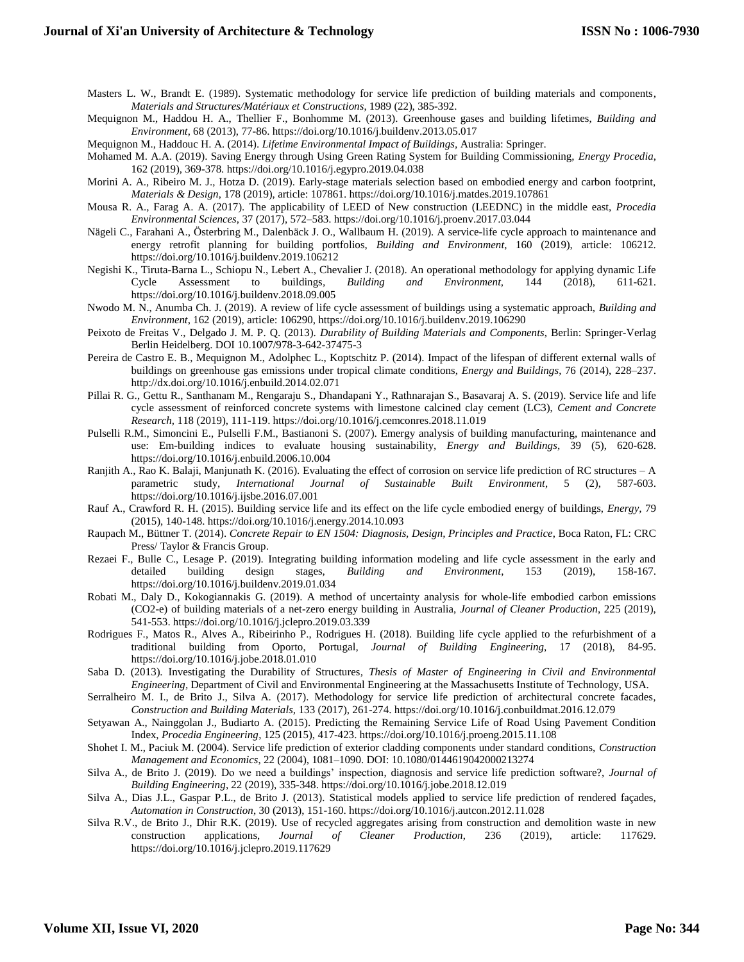Masters L. W., Brandt E. (1989). Systematic methodology for service life prediction of building materials and components*, Materials and Structures/Matériaux et Constructions*, 1989 (22), 385-392.

Mequignon M., Haddou H. A., Thellier F., Bonhomme M. (2013). Greenhouse gases and building lifetimes, *Building and Environment*, 68 (2013), 77-86. https://doi.org/10.1016/j.buildenv.2013.05.017

Mequignon M., Haddouc H. A. (2014). *Lifetime Environmental Impact of Buildings,* Australia: Springer.

- Mohamed M. A.A. (2019). Saving Energy through Using Green Rating System for Building Commissioning, *Energy Procedia*, 162 (2019), 369-378. https://doi.org/10.1016/j.egypro.2019.04.038
- Morini A. A., Ribeiro M. J., Hotza D. (2019). Early-stage materials selection based on embodied energy and carbon footprint, *Materials & Design*, 178 (2019), article: 107861. https://doi.org/10.1016/j.matdes.2019.107861
- Mousa R. A., Farag A. A. (2017). The applicability of LEED of New construction (LEEDNC) in the middle east, *Procedia Environmental Sciences*, 37 (2017), 572–583. https://doi.org/10.1016/j.proenv.2017.03.044
- Nägeli C., Farahani A., Österbring M., Dalenbäck J. O., Wallbaum H. (2019). A service-life cycle approach to maintenance and energy retrofit planning for building portfolios, *Building and Environment*, 160 (2019), article: 106212. https://doi.org/10.1016/j.buildenv.2019.106212
- Negishi K., Tiruta-Barna L., Schiopu N., Lebert A., Chevalier J. (2018). An operational methodology for applying dynamic Life Cycle Assessment to buildings*, Building and Environment,* 144 (2018), 611-621. https://doi.org/10.1016/j.buildenv.2018.09.005
- Nwodo M. N., Anumba Ch. J. (2019). A review of life cycle assessment of buildings using a systematic approach, *Building and Environment*, 162 (2019), article: 106290, https://doi.org/10.1016/j.buildenv.2019.106290
- Peixoto de Freitas V., Delgado J. M. P. Q. (2013). *Durability of Building Materials and Components*, Berlin: Springer-Verlag Berlin Heidelberg. DOI 10.1007/978-3-642-37475-3
- Pereira de Castro E. B., Mequignon M., Adolphec L., Koptschitz P. (2014). Impact of the lifespan of different external walls of buildings on greenhouse gas emissions under tropical climate conditions, *Energy and Buildings*, 76 (2014), 228–237. http://dx.doi.org/10.1016/j.enbuild.2014.02.071
- Pillai R. G., Gettu R., Santhanam M., Rengaraju S., Dhandapani Y., Rathnarajan S., Basavaraj A. S. (2019). Service life and life cycle assessment of reinforced concrete systems with limestone calcined clay cement (LC3), *Cement and Concrete Research,* 118 (2019), 111-119. https://doi.org/10.1016/j.cemconres.2018.11.019
- Pulselli R.M., Simoncini E., Pulselli F.M., Bastianoni S. (2007). Emergy analysis of building manufacturing, maintenance and use: Em-building indices to evaluate housing sustainability, *Energy and Buildings*, 39 (5), 620-628. https://doi.org/10.1016/j.enbuild.2006.10.004
- Ranjith A., Rao K. Balaji, Manjunath K. (2016). Evaluating the effect of corrosion on service life prediction of RC structures A parametric study, *International Journal of Sustainable Built Environment*, 5 (2), 587-603. https://doi.org/10.1016/j.ijsbe.2016.07.001
- Rauf A., Crawford R. H. (2015). Building service life and its effect on the life cycle embodied energy of buildings, *Energy,* 79 (2015), 140-148. https://doi.org/10.1016/j.energy.2014.10.093
- Raupach M., Büttner T. (2014). *Concrete Repair to EN 1504: Diagnosis, Design, Principles and Practice*, Boca Raton, FL: CRC Press/ Taylor & Francis Group.
- Rezaei F., Bulle C., Lesage P. (2019). Integrating building information modeling and life cycle assessment in the early and detailed building design stages, *Building and Environment*, 153 (2019), 158-167. https://doi.org/10.1016/j.buildenv.2019.01.034
- Robati M., Daly D., Kokogiannakis G. (2019). A method of uncertainty analysis for whole-life embodied carbon emissions (CO2-e) of building materials of a net-zero energy building in Australia, *Journal of Cleaner Production*, 225 (2019), 541-553. https://doi.org/10.1016/j.jclepro.2019.03.339
- Rodrigues F., Matos R., Alves A., Ribeirinho P., Rodrigues H. (2018). Building life cycle applied to the refurbishment of a traditional building from Oporto, Portugal*, Journal of Building Engineering*, 17 (2018), 84-95. https://doi.org/10.1016/j.jobe.2018.01.010
- Saba D. (2013). Investigating the Durability of Structures*, Thesis of Master of Engineering in Civil and Environmental Engineering,* Department of Civil and Environmental Engineering at the Massachusetts Institute of Technology, USA.
- Serralheiro M. I., de Brito J., Silva A. (2017). Methodology for service life prediction of architectural concrete facades*, Construction and Building Materials,* 133 (2017), 261-274. https://doi.org/10.1016/j.conbuildmat.2016.12.079
- Setyawan A., Nainggolan J., Budiarto A. (2015). Predicting the Remaining Service Life of Road Using Pavement Condition Index, *Procedia Engineering*, 125 (2015), 417-423. https://doi.org/10.1016/j.proeng.2015.11.108
- Shohet I. M., Paciuk M. (2004). Service life prediction of exterior cladding components under standard conditions, *Construction Management and Economics*, 22 (2004), 1081–1090. DOI: 10.1080/0144619042000213274
- Silva A., de Brito J. (2019). Do we need a buildings' inspection, diagnosis and service life prediction software?, *Journal of Building Engineering*, 22 (2019), 335-348. https://doi.org/10.1016/j.jobe.2018.12.019
- Silva A., Dias J.L., Gaspar P.L., de Brito J. (2013). Statistical models applied to service life prediction of rendered façades, *Automation in Construction*, 30 (2013), 151-160. https://doi.org/10.1016/j.autcon.2012.11.028
- Silva R.V., de Brito J., Dhir R.K. (2019). Use of recycled aggregates arising from construction and demolition waste in new construction applications, *Journal of Cleaner Production*, 236 (2019), article: 117629. https://doi.org/10.1016/j.jclepro.2019.117629